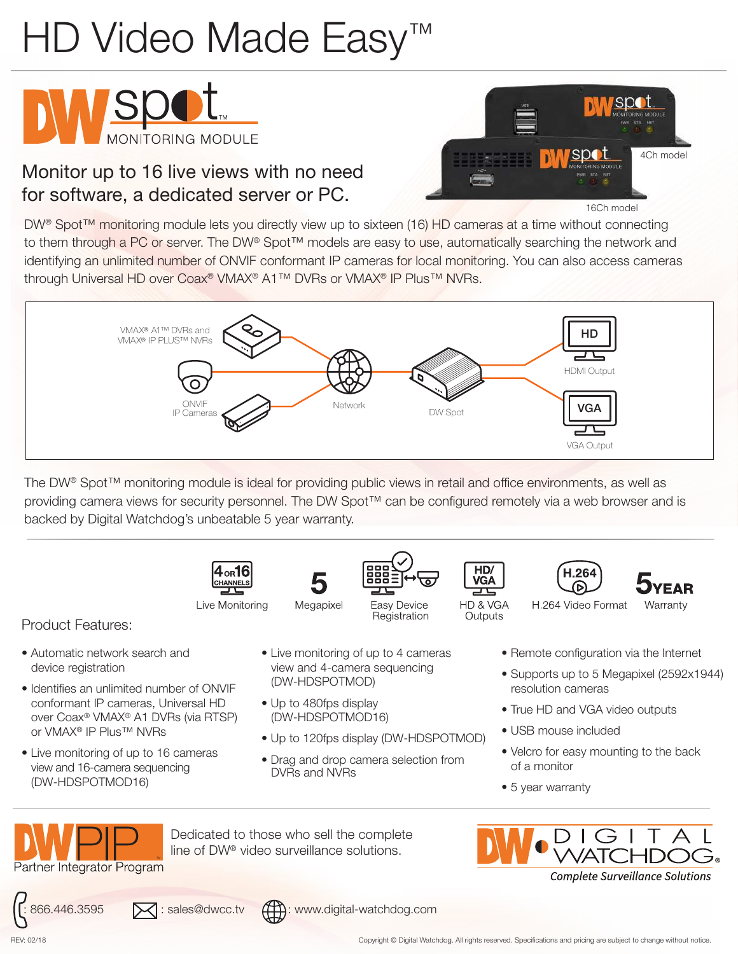## HD Video Made Easy<sup>™</sup>





16Ch model

4Ch model

DW<sup>®</sup> Spot<sup>™</sup> monitoring module lets you directly view up to sixteen (16) HD cameras at a time without connecting to them through a PC or server. The DW® Spot™ models are easy to use, automatically searching the network and identifying an unlimited number of ONVIF conformant IP cameras for local monitoring. You can also access cameras through Universal HD over Coax® VMAX® A1™ DVRs or VMAX® IP Plus™ NVRs.



The DW® Spot™ monitoring module is ideal for providing public views in retail and office environments, as well as providing camera views for security personnel. The DW Spot™ can be configured remotely via a web browser and is backed by Digital Watchdog's unbeatable 5 year warranty.



Live Monitoring



Megapixel



Registration



Outputs





Product Features:

- Automatic network search and device registration
- Identifies an unlimited number of ONVIF conformant IP cameras, Universal HD over Coax® VMAX® A1 DVRs (via RTSP) or VMAX® IP Plus™ NVRs
- Live monitoring of up to 16 cameras view and 16-camera sequencing (DW-HDSPOTMOD16)
- Live monitoring of up to 4 cameras view and 4-camera sequencing (DW-HDSPOTMOD)
- Up to 480fps display (DW-HDSPOTMOD16)

Dedicated to those who sell the complete line of DW® video surveillance solutions.

- Up to 120fps display (DW-HDSPOTMOD)
- Drag and drop camera selection from DVRs and NVRs

- Remote configuration via the Internet
- Supports up to 5 Megapixel (2592x1944) resolution cameras
- True HD and VGA video outputs
- USB mouse included
- Velcro for easy mounting to the back of a monitor
- 5 year warranty

Partner Integrator Program







**Complete Surveillance Solutions** 

REV: 02/18 Copyright © Digital Watchdog. All rights reserved. Specifications and pricing are subject to change without notice.